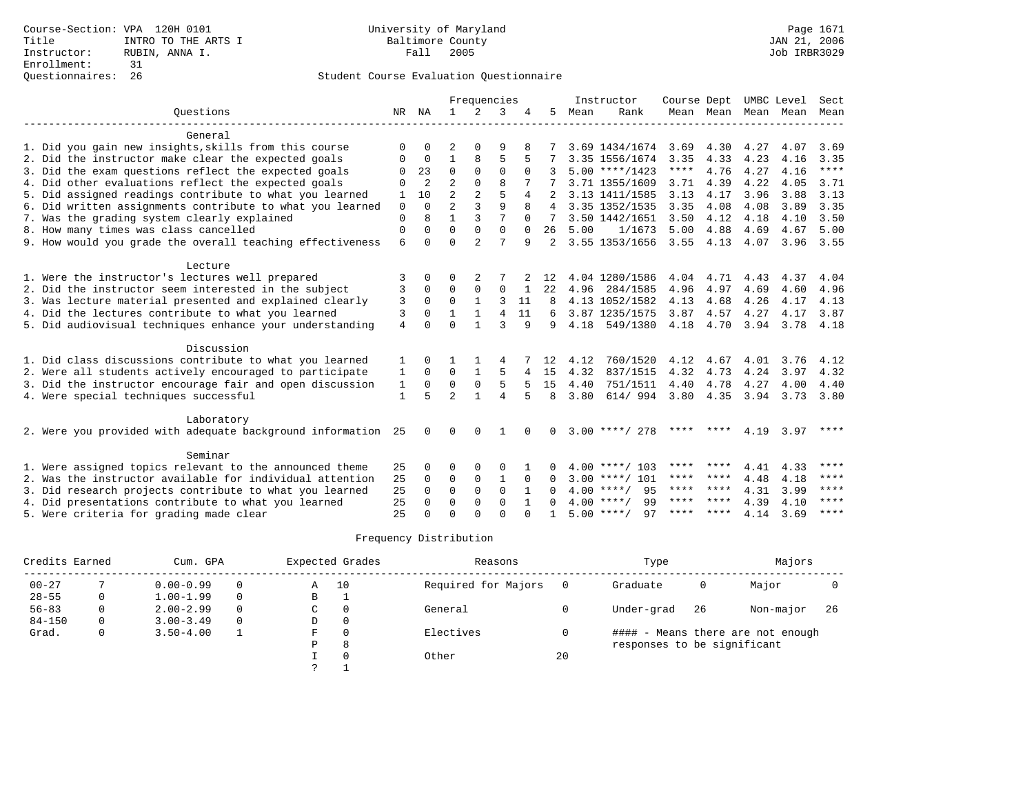|                                                              |                | Frequencies  |                |                |                |                | Instructor     | Course Dept |                    | UMBC Level |                | Sect |      |             |
|--------------------------------------------------------------|----------------|--------------|----------------|----------------|----------------|----------------|----------------|-------------|--------------------|------------|----------------|------|------|-------------|
| Ouestions                                                    |                |              | $\mathbf{1}$   | $\overline{2}$ | 3              |                | 5              | Mean        | Rank               |            | Mean Mean Mean |      | Mean | Mean        |
|                                                              |                |              |                |                |                |                |                |             |                    |            |                |      |      |             |
| General                                                      |                |              |                |                |                |                |                |             |                    |            |                |      |      |             |
| 1. Did you gain new insights, skills from this course        | $\Omega$       |              |                |                | 9              |                |                |             | 3.69 1434/1674     | 3.69       | 4.30           | 4.27 | 4.07 | 3.69        |
| 2. Did the instructor make clear the expected goals          | O              | $\Omega$     | 1              | 8              | 5              |                |                |             | 3.35 1556/1674     | 3.35       | 4.33           | 4.23 | 4.16 | 3.35        |
| 3. Did the exam questions reflect the expected goals         | O              | 23           | $\Omega$       | $\Omega$       | $\Omega$       | $\Omega$       |                |             | $5.00$ ****/1423   | ****       | 4.76           | 4.27 | 4.16 | $***$ * * * |
| 4. Did other evaluations reflect the expected goals          | $\Omega$       | 2            | $\overline{a}$ | $\Omega$       | $\mathsf{R}$   |                |                |             | 3.71 1355/1609     | 3.71       | 4.39           | 4.22 | 4.05 | 3.71        |
| 5. Did assigned readings contribute to what you learned      | 1              | 10           | $\overline{a}$ | 2              | 5              | $\overline{4}$ |                |             | 3.13 1411/1585     | 3.13       | 4.17           | 3.96 | 3.88 | 3.13        |
| 6. Did written assignments contribute to what you learned    | $\mathbf 0$    | $\Omega$     | $\overline{2}$ | ζ              | $\mathsf{Q}$   | 8              | 4              |             | 3.35 1352/1535     | 3.35       | 4.08           | 4.08 | 3.89 | 3.35        |
| 7. Was the grading system clearly explained                  | $\Omega$       | 8            | 1              | 3              | 7              | $\Omega$       |                |             | 3.50 1442/1651     | 3.50       | 4.12           | 4.18 | 4.10 | 3.50        |
| 8. How many times was class cancelled                        | $\Omega$       | 0            | $\Omega$       | $\Omega$       | $\Omega$       | $\Omega$       | 26             | 5.00        | 1/1673             | 5.00       | 4.88           | 4.69 | 4.67 | 5.00        |
| 9. How would you grade the overall teaching effectiveness    | 6              | $\Omega$     | $\Omega$       | $\overline{a}$ | 7              | 9              | $\mathfrak{D}$ |             | 3.55 1353/1656     | 3.55       | 4.13           | 4.07 | 3.96 | 3.55        |
| Lecture                                                      |                |              |                |                |                |                |                |             |                    |            |                |      |      |             |
| 1. Were the instructor's lectures well prepared              | 3              | 0            | O              |                |                |                | 12             |             | 4.04 1280/1586     | 4.04       | 4.71           | 4.43 | 4.37 | 4.04        |
| 2. Did the instructor seem interested in the subject         | 3              | $\Omega$     | $\Omega$       | 2<br>0         | $\mathbf 0$    |                | 22             | 4.96        | 284/1585           | 4.96       | 4.97           | 4.69 | 4.60 | 4.96        |
| 3. Was lecture material presented and explained clearly      | 3              | $\Omega$     | $\Omega$       | $\mathbf{1}$   | ς              | 11             | 8              |             | 4.13 1052/1582     | 4.13       | 4.68           | 4.26 | 4.17 | 4.13        |
| 4. Did the lectures contribute to what you learned           | 3              | $\Omega$     | 1              | $\mathbf{1}$   | $\overline{4}$ | 11             | 6              |             | 3.87 1235/1575     | 3.87       | 4.57           | 4.27 | 4.17 | 3.87        |
|                                                              |                | $\Omega$     | $\Omega$       | $\mathbf{1}$   | ζ              | 9              |                |             | 549/1380           | 4.18       | 4.70           |      |      |             |
| 5. Did audiovisual techniques enhance your understanding     | $\overline{4}$ |              |                |                |                |                | 9              | 4.18        |                    |            |                | 3.94 | 3.78 | 4.18        |
| Discussion                                                   |                |              |                |                |                |                |                |             |                    |            |                |      |      |             |
| 1. Did class discussions contribute to what you learned      | 1              | <sup>0</sup> |                |                | 4              |                | 12.            | 4.12        | 760/1520           | 4.12       | 4.67           | 4.01 | 3.76 | 4.12        |
| 2. Were all students actively encouraged to participate      | 1              | $\Omega$     | $\Omega$       | $\mathbf{1}$   | 5              | 4              | 15             | 4.32        | 837/1515           | 4.32       | 4.73           | 4.24 | 3.97 | 4.32        |
| 3. Did the instructor encourage fair and open discussion     | 1              | 0            | $\mathbf 0$    | 0              | 5              | 5              | 15             | 4.40        | 751/1511           | 4.40       | 4.78           | 4.27 | 4.00 | 4.40        |
| 4. Were special techniques successful                        | $\mathbf{1}$   | 5            | $\mathfrak{D}$ | $\mathbf{1}$   | $\overline{A}$ | 5              | $\mathsf{R}$   | 3.80        | 614/ 994           | 3.80       | 4.35           | 3.94 | 3.73 | 3.80        |
|                                                              |                |              |                |                |                |                |                |             |                    |            |                |      |      |             |
| Laboratory                                                   |                |              |                |                |                |                |                |             |                    |            |                |      |      |             |
| 2. Were you provided with adequate background information 25 |                | $\Omega$     | <sup>0</sup>   | 0              |                |                | 0              |             | $3.00$ ****/ 278   | ****       | ****           | 4.19 | 3.97 | ****        |
| Seminar                                                      |                |              |                |                |                |                |                |             |                    |            |                |      |      |             |
| 1. Were assigned topics relevant to the announced theme      | 25             | 0            | O              | $\Omega$       | $\Omega$       |                |                |             | $4.00$ ****/ 103   | ****       | ****           | 4.41 | 4.33 | ****        |
| 2. Was the instructor available for individual attention     |                |              | 0              | 0              | 1              | $\Omega$       | <sup>0</sup>   |             | $3.00$ ****/ 101   | ****       | ****           | 4.48 | 4.18 | ****        |
| 3. Did research projects contribute to what you learned      |                |              | $\Omega$       | $\Omega$       | $\Omega$       |                | <sup>0</sup>   |             | $4.00$ ****/<br>95 | **** ****  |                | 4.31 | 3.99 | $* * * * *$ |
| 4. Did presentations contribute to what you learned          |                |              | $\Omega$       | $\Omega$       | $\Omega$       |                |                |             | $4.00$ ****/<br>99 | ****       | ****           | 4.39 | 4.10 | ****        |
| 5. Were criteria for grading made clear                      | 25<br>25       | 0            | $\Omega$       | $\cap$         | $\Omega$       |                |                |             | $5.00$ ****/<br>97 | **** ****  |                | 4.14 | 3.69 | $* * * * *$ |
|                                                              |                |              |                |                |                |                |                |             |                    |            |                |      |      |             |

| Credits Earned<br>Cum. GPA |   | Expected Grades |          | Reasons |          | Type                |    | Majors                      |    |                                   |     |
|----------------------------|---|-----------------|----------|---------|----------|---------------------|----|-----------------------------|----|-----------------------------------|-----|
| $00 - 27$                  |   | $0.00 - 0.99$   |          | Α       | 10       | Required for Majors |    | Graduate                    | 0  | Major                             |     |
| $28 - 55$                  |   | $1.00 - 1.99$   | $\Omega$ | В       |          |                     |    |                             |    |                                   |     |
| $56 - 83$                  | 0 | $2.00 - 2.99$   | $\Omega$ | C.      | 0        | General             |    | Under-grad                  | 26 | Non-major                         | -26 |
| $84 - 150$                 | 0 | $3.00 - 3.49$   |          | D       | 0        |                     |    |                             |    |                                   |     |
| Grad.                      | 0 | $3.50 - 4.00$   |          | F       | $\Omega$ | Electives           |    |                             |    | #### - Means there are not enough |     |
|                            |   |                 |          | Ρ       | 8        |                     |    | responses to be significant |    |                                   |     |
|                            |   |                 |          |         | $\Omega$ | Other               | 20 |                             |    |                                   |     |
|                            |   |                 |          |         |          |                     |    |                             |    |                                   |     |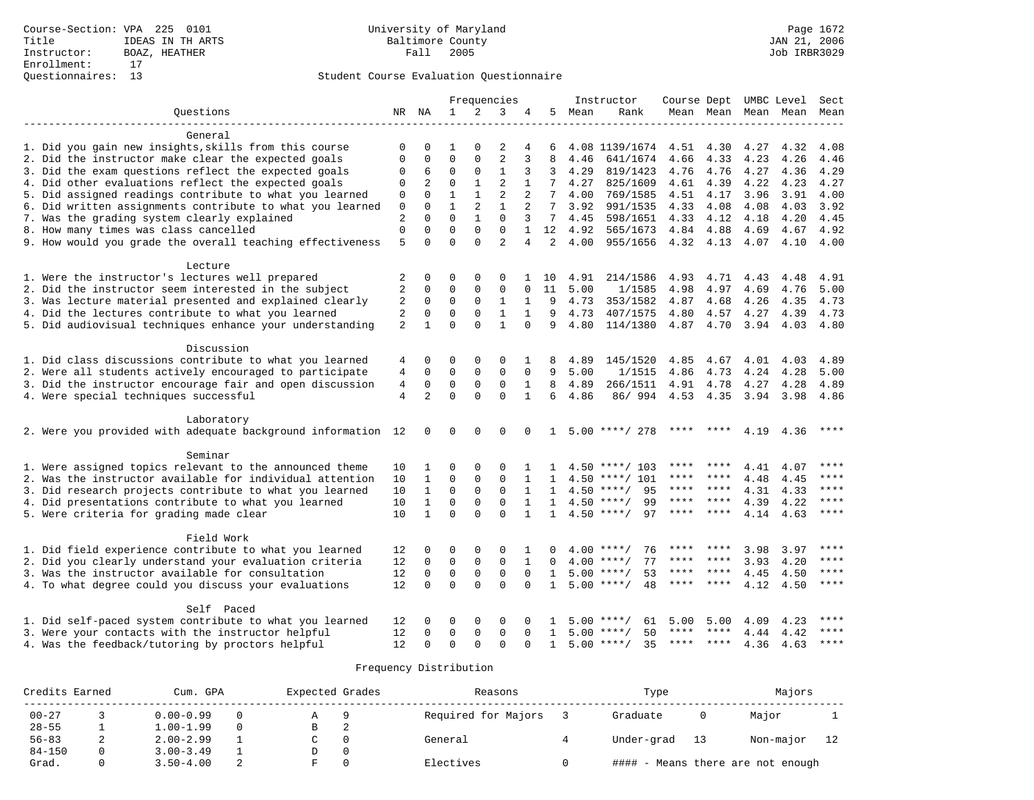|                                                              |                |                | Frequencies  |              |                | Instructor     |              |      | Course Dept UMBC Level |             | Sect      |      |           |       |
|--------------------------------------------------------------|----------------|----------------|--------------|--------------|----------------|----------------|--------------|------|------------------------|-------------|-----------|------|-----------|-------|
| Ouestions                                                    |                | NR NA          | $\mathbf{1}$ | 2            | 3              | 4              | 5            | Mean | Rank                   |             | Mean Mean |      | Mean Mean | Mean  |
| General                                                      |                |                |              |              |                |                |              |      |                        |             |           |      |           |       |
| 1. Did you gain new insights, skills from this course        | $\mathbf 0$    | $\Omega$       | 1            | $\Omega$     | 2              | 4              | 6            |      | 4.08 1139/1674         | 4.51        | 4.30      | 4.27 | 4.32      | 4.08  |
| 2. Did the instructor make clear the expected goals          | $\mathbf{0}$   | $\mathbf 0$    | $\mathbf 0$  | $\mathbf{0}$ | $\overline{2}$ | 3              | 8            | 4.46 | 641/1674               | 4.66        | 4.33      | 4.23 | 4.26      | 4.46  |
| 3. Did the exam questions reflect the expected goals         | $\mathbf 0$    | 6              | $\mathbf 0$  | $\mathbf{0}$ | $\mathbf{1}$   | 3              | 3            | 4.29 | 819/1423               | 4.76        | 4.76      | 4.27 | 4.36      | 4.29  |
| 4. Did other evaluations reflect the expected goals          | $\mathbf 0$    | $\overline{2}$ | $\Omega$     | $\mathbf{1}$ | $\overline{2}$ | $\mathbf{1}$   | 7            | 4.27 | 825/1609               | 4.61        | 4.39      | 4.22 | 4.23      | 4.27  |
| 5. Did assigned readings contribute to what you learned      | $\mathbf 0$    | $\Omega$       | $\mathbf{1}$ | $\mathbf{1}$ | 2              | 2              | 7            | 4.00 | 769/1585               | 4.51        | 4.17      | 3.96 | 3.91      | 4.00  |
| 6. Did written assignments contribute to what you learned    | 0              | $\Omega$       | $\mathbf{1}$ | 2            | $\mathbf{1}$   | 2              | 7            | 3.92 | 991/1535               | 4.33        | 4.08      | 4.08 | 4.03      | 3.92  |
| 7. Was the grading system clearly explained                  | $\overline{2}$ | $\Omega$       | $\Omega$     | $\mathbf{1}$ | $\mathbf{0}$   | 3              | 7            | 4.45 | 598/1651               | 4.33        | 4.12      | 4.18 | 4.20      | 4.45  |
| 8. How many times was class cancelled                        | $\mathbf{0}$   | $\mathbf{0}$   | $\Omega$     | $\mathbf 0$  | $\mathbf{0}$   | $\mathbf{1}$   | 12           | 4.92 | 565/1673               | 4.84        | 4.88      | 4.69 | 4.67      | 4.92  |
| 9. How would you grade the overall teaching effectiveness    | 5              | $\Omega$       | $\Omega$     | $\Omega$     | $\overline{a}$ | $\overline{4}$ | 2            | 4.00 | 955/1656               | 4.32 4.13   |           | 4.07 | 4.10      | 4.00  |
| Lecture                                                      |                |                |              |              |                |                |              |      |                        |             |           |      |           |       |
| 1. Were the instructor's lectures well prepared              | 2              | $\mathbf 0$    | 0            | 0            | $\Omega$       |                | 10           | 4.91 | 214/1586               | 4.93        | 4.71      | 4.43 | 4.48      | 4.91  |
| 2. Did the instructor seem interested in the subject         | 2              | $\mathbf 0$    | $\mathbf 0$  | 0            | 0              | 0              | 11           | 5.00 | 1/1585                 | 4.98        | 4.97      | 4.69 | 4.76      | 5.00  |
| 3. Was lecture material presented and explained clearly      | $\overline{2}$ | $\mathbf 0$    | $\mathbf 0$  | $\mathbf{0}$ | $\mathbf{1}$   | $\mathbf{1}$   | 9            | 4.73 | 353/1582               | 4.87        | 4.68      | 4.26 | 4.35      | 4.73  |
| 4. Did the lectures contribute to what you learned           | $\overline{2}$ | $\mathbf 0$    | $\mathbf 0$  | $\mathsf 0$  | $\mathbf{1}$   | $\mathbf{1}$   | 9            | 4.73 | 407/1575               | 4.80        | 4.57      | 4.27 | 4.39      | 4.73  |
| 5. Did audiovisual techniques enhance your understanding     | $\overline{2}$ | $\mathbf{1}$   | $\Omega$     | $\Omega$     | $\mathbf{1}$   | $\Omega$       | 9            | 4.80 | 114/1380               | 4.87        | 4.70      | 3.94 | 4.03      | 4.80  |
| Discussion                                                   |                |                |              |              |                |                |              |      |                        |             |           |      |           |       |
| 1. Did class discussions contribute to what you learned      | 4              | 0              | 0            | 0            | 0              | 1              | 8            | 4.89 | 145/1520               | 4.85        | 4.67      | 4.01 | 4.03      | 4.89  |
| 2. Were all students actively encouraged to participate      | $\overline{4}$ | $\mathbf 0$    | $\mathbf 0$  | $\mathbf 0$  | $\mathbf 0$    | $\mathbf 0$    | 9            | 5.00 | 1/1515                 | 4.86        | 4.73      | 4.24 | 4.28      | 5.00  |
| 3. Did the instructor encourage fair and open discussion     | $\overline{4}$ | $\mathbf 0$    | $\mathbf 0$  | $\mathsf 0$  | $\mathbf 0$    | $\mathbf{1}$   | 8            | 4.89 | 266/1511               | 4.91        | 4.78      | 4.27 | 4.28      | 4.89  |
| 4. Were special techniques successful                        | $\overline{4}$ | 2              | $\Omega$     | $\Omega$     | $\Omega$       | $\mathbf{1}$   | 6            | 4.86 | 86/994                 | 4.53        | 4.35      | 3.94 | 3.98      | 4.86  |
| Laboratory                                                   |                |                |              |              |                |                |              |      |                        |             |           |      |           |       |
| 2. Were you provided with adequate background information 12 |                | 0              | $\mathbf 0$  | $\Omega$     | $\Omega$       | $\Omega$       | 1            |      | $5.00$ ****/ 278       |             |           | 4.19 | 4.36      | ****  |
| Seminar                                                      |                |                |              |              |                |                |              |      |                        |             |           |      |           |       |
| 1. Were assigned topics relevant to the announced theme      | 10             | 1              | $\Omega$     | $\Omega$     | $\Omega$       |                |              |      | $4.50$ ****/ 103       | ****        |           | 4.41 | 4.07      | ****  |
| 2. Was the instructor available for individual attention     | 10             | $\mathbf{1}$   | $\mathbf 0$  | $\mathbf 0$  | $\mathbf 0$    | $\mathbf{1}$   | 1            | 4.50 | ****/ 101              | ****        | ****      | 4.48 | 4.45      | ****  |
| 3. Did research projects contribute to what you learned      | 10             | $\mathbf{1}$   | $\mathbf 0$  | $\mathbf 0$  | 0              | 1              | 1            |      | 95<br>$4.50$ ****/     | ****        | ****      | 4.31 | 4.33      | ****  |
| 4. Did presentations contribute to what you learned          | 10             | $\mathbf{1}$   | $\mathbf 0$  | $\mathbf{0}$ | $\mathbf 0$    | 1              | $\mathbf{1}$ |      | $4.50$ ****/<br>99     | $***$ * *   | $***$ *   | 4.39 | 4.22      | ****  |
| 5. Were criteria for grading made clear                      | 10             | $\mathbf{1}$   | $\Omega$     | $\Omega$     | $\Omega$       | $\mathbf{1}$   | $\mathbf{1}$ |      | $4.50$ ****/<br>97     |             |           | 4.14 | 4.63      | ****  |
| Field Work                                                   |                |                |              |              |                |                |              |      |                        |             |           |      |           |       |
| 1. Did field experience contribute to what you learned       | 12             | 0              | 0            | 0            | 0              | 1              |              | 400  | $***$ /<br>76          |             |           | 3.98 | 3.97      | ****  |
| 2. Did you clearly understand your evaluation criteria       | 12             | $\mathbf 0$    | $\mathbf 0$  | $\mathbf 0$  | $\mathbf 0$    | $\mathbf{1}$   | $\Omega$     |      | 77<br>$4.00$ ****/     | ****        | ****      | 3.93 | 4.20      | ****  |
| 3. Was the instructor available for consultation             |                | $\mathbf 0$    | $\mathbf 0$  | $\mathbf 0$  | $\mathbf 0$    | $\Omega$       | $\mathbf{1}$ | 5.00 | 53<br>$* * * * /$      | ****        | ****      | 4.45 | 4.50      | $***$ |
| 4. To what degree could you discuss your evaluations         |                |                | $\Omega$     | $\Omega$     | $\Omega$       | $\Omega$       | $\mathbf{1}$ |      | 48<br>$5.00$ ****/     | ****        | ****      | 4.12 | 4.50      | ****  |
| Self Paced                                                   |                |                |              |              |                |                |              |      |                        |             |           |      |           |       |
| 1. Did self-paced system contribute to what you learned      | 12             | 0              | 0            | $\Omega$     | $\Omega$       |                |              |      | $5.00$ ****/<br>61     | 5.00        | 5.00      | 4.09 | 4.23      | ****  |
| 3. Were your contacts with the instructor helpful            | 12             | $\Omega$       | $\mathbf 0$  | $\mathbf 0$  | 0              | $\Omega$       | 1            |      | $5.00$ ****/<br>50     | ****        | ****      | 4.44 | 4.42      | ****  |
| 4. Was the feedback/tutoring by proctors helpful             | 12             | $\Omega$       | $\Omega$     | $\Omega$     | $\Omega$       | $\Omega$       | 1            |      | $5.00$ ****/<br>35     | $***$ * * * | $***$ *   | 4.36 | 4.63      | ****  |

| Credits Earned |  | Cum. GPA      |  |   | Expected Grades | Reasons             | Type       |    | Majors                            |  |  |
|----------------|--|---------------|--|---|-----------------|---------------------|------------|----|-----------------------------------|--|--|
| $00 - 27$      |  | $0.00 - 0.99$ |  |   |                 | Required for Majors | Graduate   |    | Major                             |  |  |
| $28 - 55$      |  | $1.00 - 1.99$ |  | в |                 |                     |            |    |                                   |  |  |
| $56 - 83$      |  | $2.00 - 2.99$ |  |   |                 | General             | Under-grad | 13 | Non-major                         |  |  |
| $84 - 150$     |  | $3.00 - 3.49$ |  |   |                 |                     |            |    |                                   |  |  |
| Grad.          |  | $3.50 - 4.00$ |  |   |                 | Electives           |            |    | #### - Means there are not enough |  |  |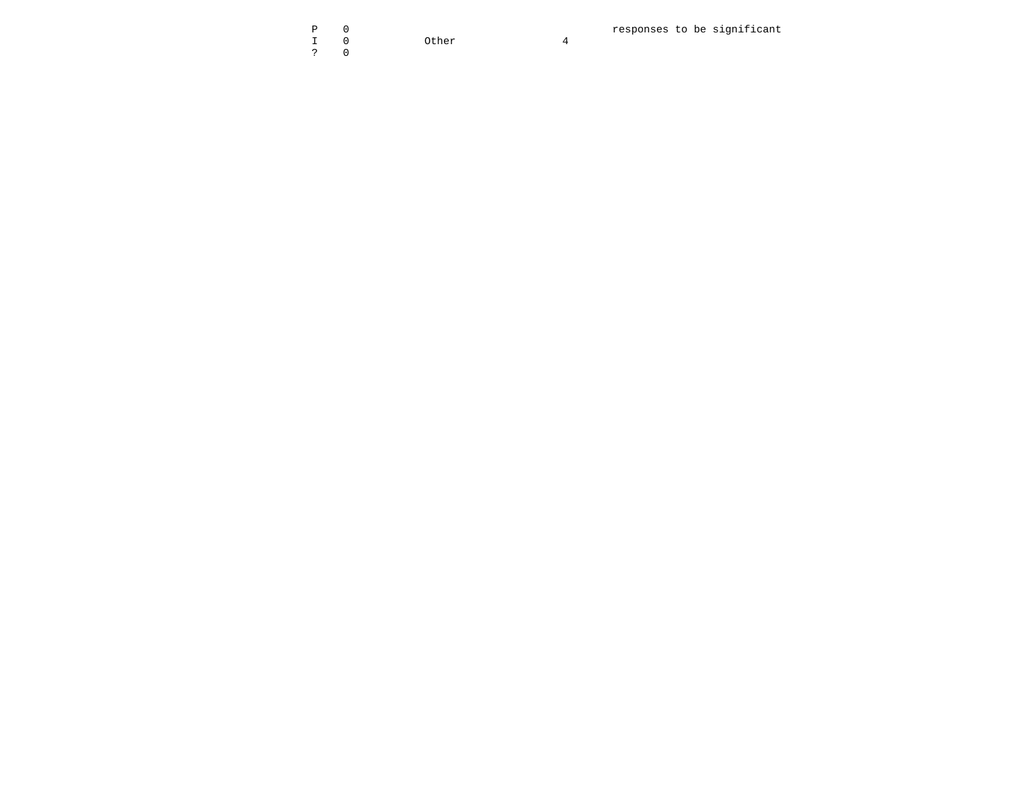| $P \t 0$     |           |          |
|--------------|-----------|----------|
|              | I 0 Other | $\Delta$ |
| $\ddot{?}$ 0 |           |          |

responses to be significant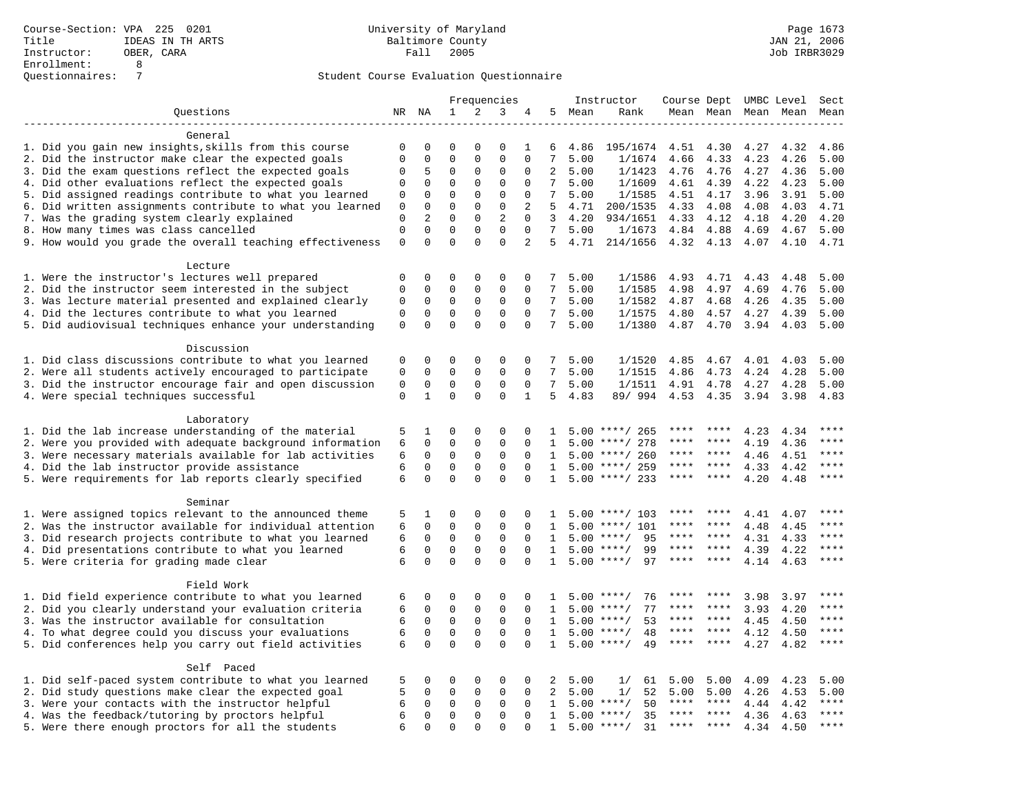|                                                           |                |                | Frequencies  |              |              |                | Instructor      | Course Dept |                    |             | UMBC Level      | Sect         |              |              |
|-----------------------------------------------------------|----------------|----------------|--------------|--------------|--------------|----------------|-----------------|-------------|--------------------|-------------|-----------------|--------------|--------------|--------------|
| Questions                                                 |                | NR NA          | 1            | 2            | 3            | 4              | 5               | Mean        | Rank               |             | Mean Mean       |              | Mean Mean    | Mean         |
|                                                           |                |                |              |              |              |                |                 |             |                    |             |                 |              |              |              |
| General                                                   |                |                |              |              |              |                |                 |             |                    |             |                 |              |              |              |
| 1. Did you gain new insights, skills from this course     | 0              | 0              | $\mathbf{0}$ | $\Omega$     | 0            | 1              | 6               | 4.86        | 195/1674           | 4.51        | 4.30            | 4.27         | 4.32         | 4.86         |
| 2. Did the instructor make clear the expected goals       | $\overline{0}$ | 0              | $\mathbf 0$  | $\mathbf 0$  | $\mathbf 0$  | $\Omega$       | 7               | 5.00        | 1/1674             | 4.66        | 4.33            | 4.23         | 4.26         | 5.00         |
| 3. Did the exam questions reflect the expected goals      | 0              | 5              | $\mathbf 0$  | $\mathbf 0$  | 0            | $\Omega$       | 2               | 5.00        | 1/1423             | 4.76        | 4.76            | 4.27         | 4.36         | 5.00         |
| 4. Did other evaluations reflect the expected goals       | 0              | $\Omega$       | $\mathbf 0$  | $\Omega$     | $\mathsf 0$  | $\Omega$       | $7\overline{ }$ | 5.00        | 1/1609             | 4.61        | 4.39            | 4.22         | 4.23         | 5.00         |
| 5. Did assigned readings contribute to what you learned   | $\mathsf 0$    | $\mathbf 0$    | $\mathbf 0$  | $\mathbf 0$  | $\mathsf 0$  | $\mathbf 0$    | 7               | 5.00        | 1/1585             | 4.51        | 4.17            | 3.96         | 3.91         | 5.00         |
| 6. Did written assignments contribute to what you learned | 0              | 0              | $\mathbf{0}$ | $\mathbf 0$  | $\mathbf{0}$ | 2              | 5               | 4.71        | 200/1535           | 4.33        | 4.08            | 4.08         | 4.03         | 4.71         |
| 7. Was the grading system clearly explained               | $\mathbf 0$    | $\overline{a}$ | $\mathbf{0}$ | $\mathbf 0$  | 2            | $\Omega$       | 3               | 4.20        | 934/1651           | 4.33        | 4.12            | 4.18         | 4.20         | 4.20         |
| 8. How many times was class cancelled                     | $\mathbf 0$    | $\Omega$       | $\Omega$     | $\Omega$     | $\Omega$     | $\Omega$       | 7               | 5.00        | 1/1673             | 4.84        | 4.88            | 4.69         | 4.67         | 5.00         |
| 9. How would you grade the overall teaching effectiveness | $\mathbf 0$    | $\Omega$       | $\Omega$     | $\Omega$     | $\mathbf 0$  | $\overline{a}$ |                 | 5 4.71      | 214/1656           | 4.32 4.13   |                 | 4.07         | 4.10         | 4.71         |
| Lecture                                                   |                |                |              |              |              |                |                 |             |                    |             |                 |              |              |              |
| 1. Were the instructor's lectures well prepared           | $\Omega$       | $\Omega$       | $\Omega$     | $\Omega$     | $\mathbf 0$  | $\Omega$       | 7               | 5.00        | 1/1586             | 4.93        | 4.71            | 4.43         | 4.48         | 5.00         |
| 2. Did the instructor seem interested in the subject      | $\mathsf 0$    | $\mathbf 0$    | $\mathbf 0$  | $\mathsf 0$  | $\mathsf 0$  | $\mathbf{0}$   | 7               | 5.00        | 1/1585             | 4.98        | 4.97            | 4.69         | 4.76         | 5.00         |
| 3. Was lecture material presented and explained clearly   | 0              | 0              | $\mathsf 0$  | 0            | $\mathsf 0$  | $\mathbf 0$    | 7               | 5.00        | 1/1582             | 4.87        | 4.68            | 4.26         | 4.35         | 5.00         |
| 4. Did the lectures contribute to what you learned        | $\mathbf 0$    | $\mathbf 0$    | $\mathbf{0}$ | $\mathbf 0$  | $\mathbf{0}$ | $\Omega$       | $7^{\circ}$     | 5.00        | 1/1575             | 4.80        | 4.57            | 4.27         | 4.39         | 5.00         |
| 5. Did audiovisual techniques enhance your understanding  | $\mathbf 0$    | $\Omega$       | $\Omega$     | $\Omega$     | $\Omega$     | $\Omega$       | $7\overline{ }$ | 5.00        | 1/1380             | 4.87        | 4.70            | 3.94         | 4.03         | 5.00         |
|                                                           |                |                |              |              |              |                |                 |             |                    |             |                 |              |              |              |
| Discussion                                                |                |                |              |              |              |                |                 |             |                    |             |                 |              |              |              |
| 1. Did class discussions contribute to what you learned   | 0              | 0              | $\mathbf 0$  | $\mathbf 0$  | 0            | 0              | 7               | 5.00        | 1/1520             | 4.85        | 4.67            | 4.01         | 4.03         | 5.00         |
| 2. Were all students actively encouraged to participate   | $\mathbf 0$    | $\mathbf 0$    | $\mathbf 0$  | $\mathbf 0$  | $\mathbf 0$  | $\Omega$       | $7^{\circ}$     | 5.00        | 1/1515             | 4.86        | 4.73            | 4.24         | 4.28         | 5.00         |
| 3. Did the instructor encourage fair and open discussion  | $\mathsf 0$    | $\mathbf 0$    | $\mathbf 0$  | $\mathsf 0$  | $\mathsf 0$  | $\mathbf 0$    | $7\phantom{.0}$ | 5.00        | 1/1511             | 4.91        | 4.78            | 4.27         | 4.28         | 5.00         |
| 4. Were special techniques successful                     | $\mathbf 0$    | $\mathbf{1}$   | $\mathbf 0$  | $\mathbf 0$  | $\mathbf 0$  | $\mathbf{1}$   | 5               | 4.83        | 89/ 994            | 4.53        | 4.35            | 3.94         | 3.98         | 4.83         |
|                                                           |                |                |              |              |              |                |                 |             |                    |             |                 |              |              |              |
| Laboratory                                                |                |                |              |              |              |                |                 |             |                    |             |                 |              |              |              |
| 1. Did the lab increase understanding of the material     | 5              | 1              | 0            | $\mathbf 0$  | 0            | $\mathbf 0$    | 1               |             | $5.00$ ****/ 265   |             |                 | 4.23         | 4.34         | ****         |
| 2. Were you provided with adequate background information | 6              | 0              | $\mathbf{0}$ | $\mathbf 0$  | $\mathbf 0$  | $\Omega$       | 1               | 5.00        | ****/ 278          | ****        | ****            | 4.19         | 4.36         | ****         |
| 3. Were necessary materials available for lab activities  | 6              | $\mathbf 0$    | $\mathbf{0}$ | $\mathbf 0$  | $\mathbf{0}$ | $\Omega$       | 1               | 5.00        | ****/ 260          | ****        | ****            | 4.46         | 4.51         | $***$ * * *  |
| 4. Did the lab instructor provide assistance              | 6              | $\mathbf 0$    | $\mathbf 0$  | $\mathbf 0$  | $\mathbf 0$  | $\Omega$       | $\mathbf{1}$    | 5.00        | ****/ 259          | ****        | ****            | 4.33         | 4.42         | $***$        |
| 5. Were requirements for lab reports clearly specified    | 6              | $\mathbf 0$    | $\mathbf{0}$ | $\Omega$     | $\mathbf 0$  | $\Omega$       | 1               |             | $5.00$ ****/ 233   | ****        | $* * * *$       | 4.20         | 4.48         | ****         |
|                                                           |                |                |              |              |              |                |                 |             |                    |             |                 |              |              |              |
| Seminar                                                   |                |                |              |              |              |                |                 |             |                    |             |                 |              |              |              |
| 1. Were assigned topics relevant to the announced theme   | 5              | 1              | $\mathbf{0}$ | $\mathbf 0$  | $\mathbf{0}$ | $\mathbf 0$    | 1               | 5.00        | ****/ 103          |             |                 | 4.41         | 4.07         | ****<br>**** |
| 2. Was the instructor available for individual attention  | 6              | $\mathbf 0$    | $\mathsf 0$  | $\mathsf{O}$ | $\mathsf 0$  | $\mathbf 0$    | 1               | 5.00        | $***/101$          | ****        | ****            | 4.48         | 4.45         | ****         |
| 3. Did research projects contribute to what you learned   | 6              | $\mathbf 0$    | $\mathbf 0$  | $\mathbf 0$  | $\mathbf 0$  | $\Omega$       | 1               | 5.00        | $***$ /<br>95      | ****        | $***$           | 4.31         | 4.33         | $***$        |
| 4. Did presentations contribute to what you learned       | 6              | $\mathbf 0$    | $\mathbf 0$  | $\mathbf 0$  | $\mathbf{0}$ | $\Omega$       | 1               | 5.00        | 99<br>$***/$       | ****        | ****<br>* * * * | 4.39         | 4.22         | ****         |
| 5. Were criteria for grading made clear                   | 6              | $\Omega$       | $\Omega$     | $\Omega$     | $\Omega$     | $\Omega$       | $\mathbf{1}$    | 5.00        | $***$ /<br>97      |             |                 | 4.14         | 4.63         |              |
| Field Work                                                |                |                |              |              |              |                |                 |             |                    |             |                 |              |              |              |
| 1. Did field experience contribute to what you learned    | 6              | 0              | $\mathbf 0$  | $\mathbf 0$  | $\mathbf 0$  | 0              | $\mathbf{1}$    | 5.00        | $***$ /<br>76      |             |                 | 3.98         | 3.97         | ****         |
| 2. Did you clearly understand your evaluation criteria    | 6              | $\mathbf 0$    | $\mathbf 0$  | $\mathbf 0$  | $\mathbf{0}$ | $\mathbf 0$    | 1               | 5.00        | 77<br>$***/$       | ****        | ****            | 3.93         | 4.20         | ****         |
| 3. Was the instructor available for consultation          | 6              | $\mathbf 0$    | $\mathsf 0$  | $\mathsf{O}$ | $\mathsf 0$  | $\mathbf 0$    | 1               | 5.00        | $***$ /<br>53      | ****        | $***$ *         |              |              | $***$        |
| 4. To what degree could you discuss your evaluations      | 6              | $\mathbf 0$    | $\mathbf{0}$ | $\mathbf 0$  | $\mathbf 0$  | $\Omega$       | $\mathbf{1}$    | 5.00        | $***$ /<br>48      | $***$ * * * | $***$           | 4.45<br>4.12 | 4.50<br>4.50 | ****         |
|                                                           | 6              | $\mathbf 0$    | $\mathbf 0$  | $\Omega$     | $\mathbf{0}$ | $\Omega$       | $\mathbf{1}$    | 5.00        | 49<br>$***$ /      | $***$ * *   | ****            |              | 4.82         | $***$        |
| 5. Did conferences help you carry out field activities    |                |                |              |              |              |                |                 |             |                    |             |                 | 4.27         |              |              |
| Self Paced                                                |                |                |              |              |              |                |                 |             |                    |             |                 |              |              |              |
| 1. Did self-paced system contribute to what you learned   | 5              | 0              | $\mathbf 0$  | $\mathbf 0$  | 0            | 0              | 2               | 5.00        | 1/<br>61           | 5.00        | 5.00            | 4.09         | 4.23         | 5.00         |
| 2. Did study questions make clear the expected goal       |                | 0              | $\mathbf 0$  | $\mathbf 0$  | $\mathbf{0}$ | 0              | 2               | 5.00        | 1/<br>52           | 5.00        | 5.00            | 4.26         | 4.53         | 5.00         |
| 3. Were your contacts with the instructor helpful         |                | $\mathbf 0$    | $\mathbf 0$  | $\mathbf 0$  | $\mathbf{0}$ | $\Omega$       | 1               | 5.00        | $***/$<br>50       | ****        | $***$ *         | 4.44         | 4.42         | ****         |
| 4. Was the feedback/tutoring by proctors helpful          |                | $\mathbf 0$    | $\mathsf 0$  | $\mathsf{O}$ | $\mathbf 0$  | $\mathbf 0$    | $\mathbf{1}$    | 5.00        | $***$ /<br>35      | ****        | $* * * *$       | 4.36         | 4.63         | $***$        |
| 5. Were there enough proctors for all the students        | 6<br>6         | $\Omega$       | $\Omega$     | $\Omega$     | $\Omega$     | $\Omega$       | 1               |             | $5.00$ ****/<br>31 | $***$ * *   | $***$ *         | 4.34         | 4.50         | ****         |
|                                                           |                |                |              |              |              |                |                 |             |                    |             |                 |              |              |              |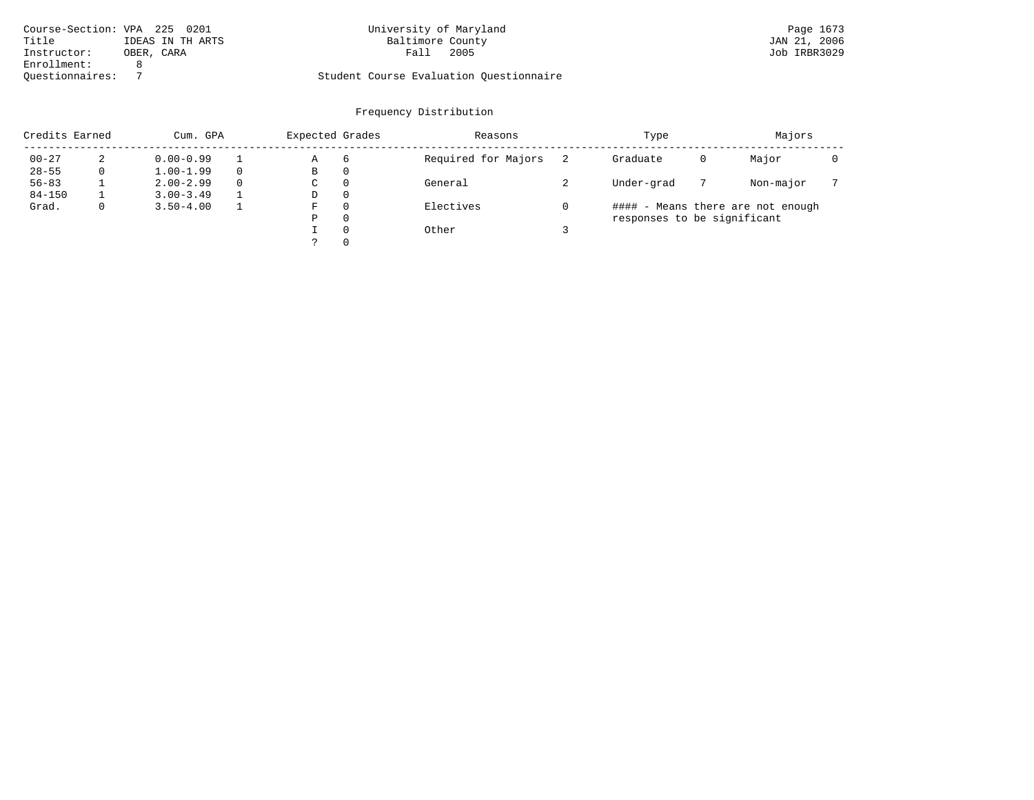| Course-Section: VPA 225 0201 |                  | University of Maryland                  | Page 1673    |
|------------------------------|------------------|-----------------------------------------|--------------|
| Title                        | IDEAS IN TH ARTS | Baltimore County                        | JAN 21, 2006 |
| Instructor:                  | OBER, CARA       | 2005<br>Fall                            | Job IRBR3029 |
| Enrollment:                  |                  |                                         |              |
| Ouestionnaires:              |                  | Student Course Evaluation Ouestionnaire |              |

# University of Maryland Page 1673<br>Baltimore County Band Dan 21, 2006

## Questionnaires: 7 Student Course Evaluation Questionnaire

|            | Credits Earned<br>Cum. GPA |               | Expected Grades |   | Reasons  | Type                | Majors                      |   |                                   |  |
|------------|----------------------------|---------------|-----------------|---|----------|---------------------|-----------------------------|---|-----------------------------------|--|
| $00 - 27$  | 2                          | $0.00 - 0.99$ |                 | Α | 6        | Required for Majors | Graduate                    | 0 | Major                             |  |
| $28 - 55$  | 0                          | $1.00 - 1.99$ |                 | В | 0        |                     |                             |   |                                   |  |
| $56 - 83$  |                            | $2.00 - 2.99$ | $\Omega$        | C | $\Omega$ | General             | Under-grad                  |   | Non-major                         |  |
| $84 - 150$ |                            | $3.00 - 3.49$ |                 | D | $\Omega$ |                     |                             |   |                                   |  |
| Grad.      | $\mathbf{0}$               | $3.50 - 4.00$ |                 | F | $\Omega$ | Electives           |                             |   | #### - Means there are not enough |  |
|            |                            |               |                 | Ρ | $\Omega$ |                     | responses to be significant |   |                                   |  |
|            |                            |               |                 |   | $\Omega$ | Other               |                             |   |                                   |  |
|            |                            |               |                 |   | $\Omega$ |                     |                             |   |                                   |  |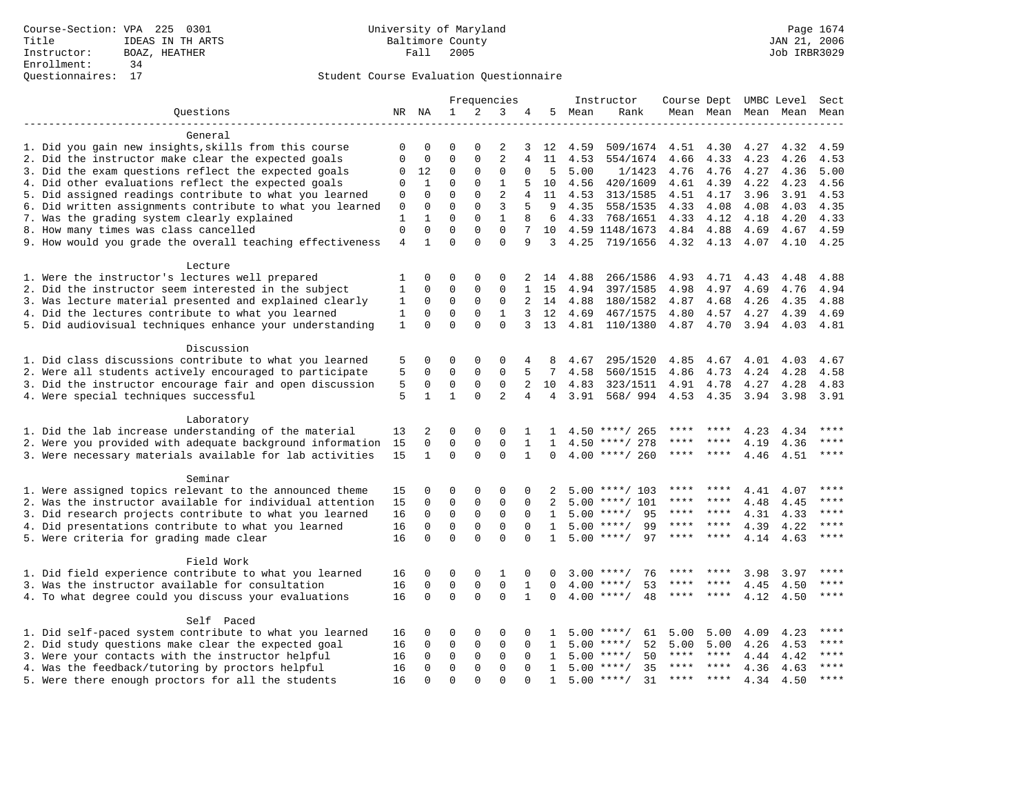|                                                           | Frequencies  |              |              |              |                |                | Instructor     |      |                    |      | Course Dept UMBC Level |      | Sect      |             |
|-----------------------------------------------------------|--------------|--------------|--------------|--------------|----------------|----------------|----------------|------|--------------------|------|------------------------|------|-----------|-------------|
| Ouestions                                                 |              |              | $\mathbf{1}$ | 2            | 3              | 4              | 5              | Mean | Rank               |      | Mean Mean              |      | Mean Mean | Mean        |
|                                                           |              |              |              |              |                |                |                |      |                    |      |                        |      |           |             |
| General                                                   |              |              |              |              |                |                |                |      |                    |      |                        |      |           |             |
| 1. Did you gain new insights, skills from this course     | 0            | 0            | 0            | 0            | 2              | 3              | 12             | 4.59 | 509/1674           | 4.51 | 4.30                   | 4.27 | 4.32      | 4.59        |
| 2. Did the instructor make clear the expected goals       | 0            | 0            | $\mathbf 0$  | 0            | $\overline{2}$ | 4              | 11             | 4.53 | 554/1674           | 4.66 | 4.33                   | 4.23 | 4.26      | 4.53        |
| 3. Did the exam questions reflect the expected goals      | 0            | 12           | 0            | $\Omega$     | 0              | $\Omega$       | 5              | 5.00 | 1/1423             | 4.76 | 4.76                   | 4.27 | 4.36      | 5.00        |
| 4. Did other evaluations reflect the expected goals       | 0            | $\mathbf{1}$ | $\mathbf 0$  | $\mathbf{0}$ | $\mathbf{1}$   | 5              | 10             | 4.56 | 420/1609           | 4.61 | 4.39                   | 4.22 | 4.23      | 4.56        |
| 5. Did assigned readings contribute to what you learned   | 0            | 0            | $\mathbf 0$  | $\mathbf{0}$ | $\overline{c}$ | 4              | 11             | 4.53 | 313/1585           | 4.51 | 4.17                   | 3.96 | 3.91      | 4.53        |
| 6. Did written assignments contribute to what you learned | 0            | 0            | $\Omega$     | $\Omega$     | 3              | 5              | 9              | 4.35 | 558/1535           | 4.33 | 4.08                   | 4.08 | 4.03      | 4.35        |
| 7. Was the grading system clearly explained               | $\mathbf{1}$ | $\mathbf{1}$ | $\Omega$     | $\Omega$     | $\mathbf{1}$   | 8              | 6              | 4.33 | 768/1651           | 4.33 | 4.12                   | 4.18 | 4.20      | 4.33        |
| 8. How many times was class cancelled                     | $\mathbf 0$  | $\mathbf 0$  | $\mathbf 0$  | $\mathbf 0$  | $\mathbf 0$    | 7              | 10             |      | 4.59 1148/1673     | 4.84 | 4.88                   | 4.69 | 4.67      | 4.59        |
| 9. How would you grade the overall teaching effectiveness | 4            | $\mathbf{1}$ | $\Omega$     | $\Omega$     | $\Omega$       | 9              | 3              | 4.25 | 719/1656           | 4.32 | 4.13                   | 4.07 | 4.10      | 4.25        |
| Lecture                                                   |              |              |              |              |                |                |                |      |                    |      |                        |      |           |             |
| 1. Were the instructor's lectures well prepared           | 1            | 0            | 0            | $\mathbf 0$  | 0              | 2              | 14             | 4.88 | 266/1586           | 4.93 | 4.71                   | 4.43 | 4.48      | 4.88        |
| 2. Did the instructor seem interested in the subject      | 1            | 0            | 0            | $\mathbf 0$  | 0              | $\mathbf{1}$   | 15             | 4.94 | 397/1585           | 4.98 | 4.97                   | 4.69 | 4.76      | 4.94        |
| 3. Was lecture material presented and explained clearly   | 1            | 0            | $\mathbf 0$  | $\mathbf 0$  | 0              | $\overline{2}$ | 14             | 4.88 | 180/1582           | 4.87 | 4.68                   | 4.26 | 4.35      | 4.88        |
| 4. Did the lectures contribute to what you learned        | $\mathbf{1}$ | $\mathbf 0$  | $\mathbf 0$  | $\Omega$     | $\mathbf{1}$   | 3              | 12             | 4.69 | 467/1575           | 4.80 | 4.57                   | 4.27 | 4.39      | 4.69        |
| 5. Did audiovisual techniques enhance your understanding  | $\mathbf{1}$ | $\Omega$     | $\Omega$     | $\Omega$     | $\Omega$       | 3              | 13             | 4.81 | 110/1380           |      | 4.87 4.70              | 3.94 |           | 4.81        |
|                                                           |              |              |              |              |                |                |                |      |                    |      |                        |      | 4.03      |             |
| Discussion                                                |              |              |              |              |                |                |                |      |                    |      |                        |      |           |             |
| 1. Did class discussions contribute to what you learned   | 5            | 0            | 0            | $\Omega$     | $\Omega$       | 4              | 8              | 4.67 | 295/1520           | 4.85 | 4.67                   | 4.01 | 4.03      | 4.67        |
| 2. Were all students actively encouraged to participate   | 5            | 0            | $\mathbf 0$  | $\mathbf 0$  | 0              |                | 7              | 4.58 | 560/1515           | 4.86 | 4.73                   | 4.24 | 4.28      | 4.58        |
| 3. Did the instructor encourage fair and open discussion  | 5            | 0            | 0            | $\mathbf 0$  | 0              | 2              | 10             | 4.83 | 323/1511           | 4.91 | 4.78                   | 4.27 | 4.28      | 4.83        |
| 4. Were special techniques successful                     | 5            | $\mathbf{1}$ | $\mathbf{1}$ | $\Omega$     | $\overline{2}$ | 4              | $\overline{4}$ | 3.91 | 568/ 994           | 4.53 | 4.35                   | 3.94 | 3.98      | 3.91        |
|                                                           |              |              |              |              |                |                |                |      |                    |      |                        |      |           |             |
| Laboratory                                                |              |              |              |              |                |                |                |      |                    |      |                        |      |           |             |
| 1. Did the lab increase understanding of the material     | 13           | 2            | 0            | $\mathbf 0$  | $\Omega$       |                |                |      | $4.50$ ****/ 265   | **** | ****                   | 4.23 | 4.34      | ****        |
| 2. Were you provided with adequate background information | 15           | $\mathbf 0$  | $\mathbf 0$  | $\mathbf{0}$ | 0              | 1              | $\mathbf{1}$   |      | $4.50$ ****/ 278   | **** |                        | 4.19 | 4.36      | $***$       |
| 3. Were necessary materials available for lab activities  | 15           | $\mathbf{1}$ | $\Omega$     | $\Omega$     | $\Omega$       | $\mathbf{1}$   | $\Omega$       |      | $4.00$ ****/ 260   | **** | $***$ *                | 4.46 | 4.51      | ****        |
| Seminar                                                   |              |              |              |              |                |                |                |      |                    |      |                        |      |           |             |
| 1. Were assigned topics relevant to the announced theme   | 15           | 0            | $\Omega$     | $\Omega$     | $\Omega$       | $\Omega$       | 2              |      | $5.00$ ****/ 103   | **** |                        | 4.41 | 4.07      | $***$ * * * |
| 2. Was the instructor available for individual attention  | 15           | $\mathbf 0$  | $\mathbf 0$  | $\mathsf 0$  | $\mathbf 0$    | 0              | 2              |      | $5.00$ ****/ 101   | **** | ****                   | 4.48 | 4.45      | ****        |
| 3. Did research projects contribute to what you learned   | 16           | $\mathbf 0$  | 0            | 0            | 0              | 0              | 1              |      | 95<br>$5.00$ ****/ | **** | ****                   | 4.31 | 4.33      | ****        |
| 4. Did presentations contribute to what you learned       | 16           | $\mathbf 0$  | $\mathbf 0$  | 0            | $\mathbf 0$    | $\Omega$       | $\mathbf{1}$   |      | $5.00$ ****/<br>99 | **** | $***$ *                | 4.39 | 4.22      | ****        |
| 5. Were criteria for grading made clear                   | 16           | $\Omega$     | $\Omega$     | $\Omega$     | $\Omega$       | $\Omega$       | $\mathbf{1}$   |      | 97<br>$5.00$ ****/ |      | ****                   | 4.14 | 4.63      | ****        |
|                                                           |              |              |              |              |                |                |                |      |                    |      |                        |      |           |             |
| Field Work                                                |              |              |              |              |                |                |                |      |                    |      |                        |      |           |             |
| 1. Did field experience contribute to what you learned    | 16           | 0            | 0            | 0            | 1              | 0              | $\Omega$       | 3.00 | $***$ /<br>76      |      |                        | 3.98 | 3.97      | ****        |
| 3. Was the instructor available for consultation          | 16           | $\mathbf 0$  | $\mathbf 0$  | 0            | $\mathbf 0$    | 1              | $\Omega$       | 4.00 | 53<br>$***$ /      |      |                        | 4.45 | 4.50      | ****        |
| 4. To what degree could you discuss your evaluations      | 16           | $\Omega$     | $\mathbf 0$  | $\Omega$     | $\Omega$       | 1              | $\Omega$       |      | $4.00$ ****/<br>48 | **** | ****                   | 4.12 | 4.50      | $***$       |
| Self Paced                                                |              |              |              |              |                |                |                |      |                    |      |                        |      |           |             |
| 1. Did self-paced system contribute to what you learned   | 16           | 0            | $\Omega$     | $\Omega$     | $\Omega$       | $\Omega$       | п.             |      | $5.00$ ****/<br>61 | 5.00 | 5.00                   | 4.09 | 4.23      | ****        |
| 2. Did study questions make clear the expected goal       | 16           | $\mathbf 0$  | $\mathbf 0$  | 0            | $\mathbf 0$    | $\Omega$       | 1              |      | 52<br>$5.00$ ****/ | 5.00 | 5.00                   | 4.26 | 4.53      | ****        |
| 3. Were your contacts with the instructor helpful         | 16           | 0            | 0            | 0            | 0              | $\Omega$       | $\mathbf{1}$   | 5.00 | $***/$<br>50       | **** | ****                   | 4.44 | 4.42      | ****        |
| 4. Was the feedback/tutoring by proctors helpful          | 16           | $\Omega$     | $\Omega$     | $\Omega$     | $\Omega$       | $\Omega$       | $\mathbf{1}$   | 5.00 | $***$ /<br>35      | **** | ****                   | 4.36 | 4.63      | $***$       |
| 5. Were there enough proctors for all the students        | 16           | $\Omega$     | $\Omega$     | $\cap$       | $\Omega$       |                | $\mathbf{1}$   |      | 31<br>$5.00$ ****/ | **** | $***$ *                | 4.34 | 4.50      | $***$       |